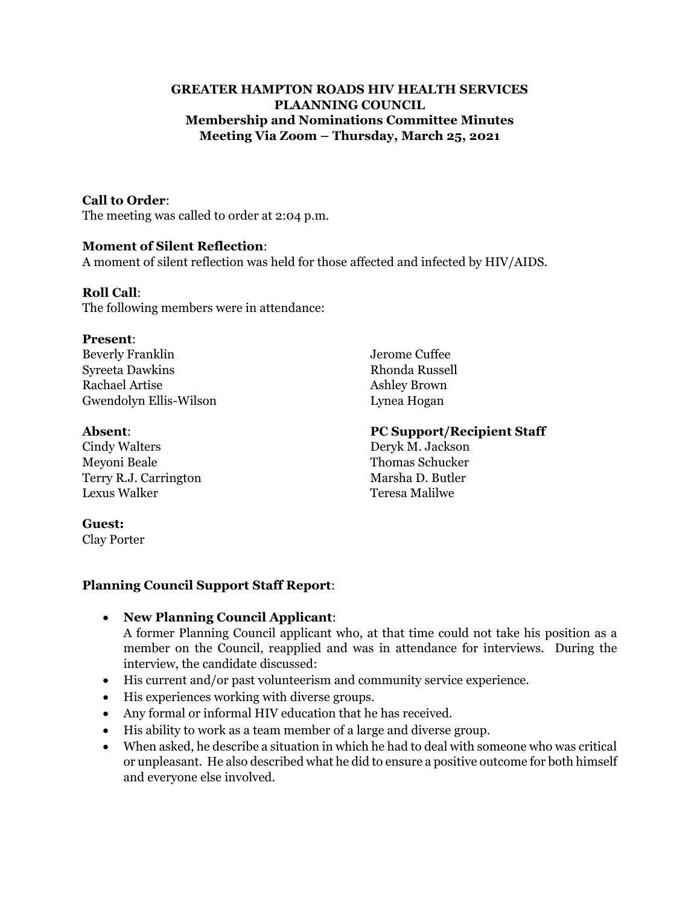#### **GREATER HAMPTON ROADS HIV HEALTH SERVICES PLAANNING COUNCIL Membership and Nominations Committee Minutes Meeting Via Zoom – Thursday, March 25, 2021**

#### **Call to Order**:

The meeting was called to order at 2:04 p.m.

#### **Moment of Silent Reflection**:

A moment of silent reflection was held for those affected and infected by HIV/AIDS.

#### **Roll Call**:

The following members were in attendance:

#### **Present**:

Beverly Franklin Jerome Cuffee Syreeta Dawkins Rhonda Russell Rachael Artise Ashley Brown Gwendolyn Ellis-Wilson Lynea Hogan

Cindy Walters Deryk M. Jackson Meyoni Beale Thomas Schucker Terry R.J. Carrington Marsha D. Butler Lexus Walker Teresa Malilwe

#### **Absent**: **PC Support/Recipient Staff**

#### **Guest:**

Clay Porter

# **Planning Council Support Staff Report**:

• **New Planning Council Applicant**:

A former Planning Council applicant who, at that time could not take his position as a member on the Council, reapplied and was in attendance for interviews. During the interview, the candidate discussed:

- His current and/or past volunteerism and community service experience.
- His experiences working with diverse groups.
- Any formal or informal HIV education that he has received.
- His ability to work as a team member of a large and diverse group.
- When asked, he describe a situation in which he had to deal with someone who was critical or unpleasant. He also described what he did to ensure a positive outcome for both himself and everyone else involved.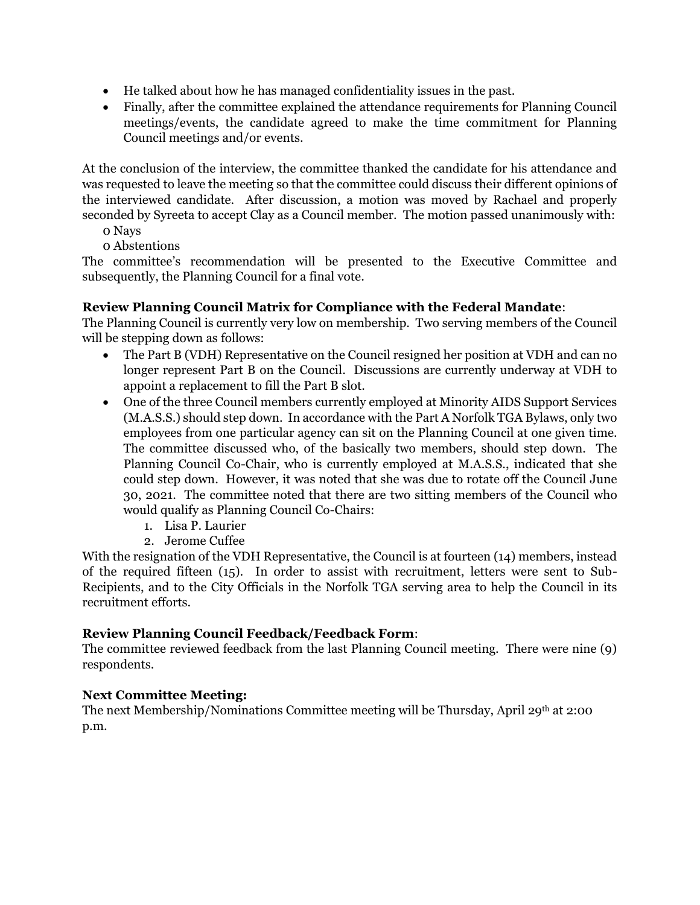- He talked about how he has managed confidentiality issues in the past.
- Finally, after the committee explained the attendance requirements for Planning Council meetings/events, the candidate agreed to make the time commitment for Planning Council meetings and/or events.

At the conclusion of the interview, the committee thanked the candidate for his attendance and was requested to leave the meeting so that the committee could discuss their different opinions of the interviewed candidate. After discussion, a motion was moved by Rachael and properly seconded by Syreeta to accept Clay as a Council member. The motion passed unanimously with:

- 0 Nays
- 0 Abstentions

The committee's recommendation will be presented to the Executive Committee and subsequently, the Planning Council for a final vote.

# **Review Planning Council Matrix for Compliance with the Federal Mandate**:

The Planning Council is currently very low on membership. Two serving members of the Council will be stepping down as follows:

- The Part B (VDH) Representative on the Council resigned her position at VDH and can no longer represent Part B on the Council. Discussions are currently underway at VDH to appoint a replacement to fill the Part B slot.
- One of the three Council members currently employed at Minority AIDS Support Services (M.A.S.S.) should step down. In accordance with the Part A Norfolk TGA Bylaws, only two employees from one particular agency can sit on the Planning Council at one given time. The committee discussed who, of the basically two members, should step down. The Planning Council Co-Chair, who is currently employed at M.A.S.S., indicated that she could step down. However, it was noted that she was due to rotate off the Council June 30, 2021. The committee noted that there are two sitting members of the Council who would qualify as Planning Council Co-Chairs:
	- 1. Lisa P. Laurier
	- 2. Jerome Cuffee

With the resignation of the VDH Representative, the Council is at fourteen (14) members, instead of the required fifteen (15). In order to assist with recruitment, letters were sent to Sub-Recipients, and to the City Officials in the Norfolk TGA serving area to help the Council in its recruitment efforts.

#### **Review Planning Council Feedback/Feedback Form**:

The committee reviewed feedback from the last Planning Council meeting. There were nine (9) respondents.

### **Next Committee Meeting:**

The next Membership/Nominations Committee meeting will be Thursday, April 29th at 2:00 p.m.